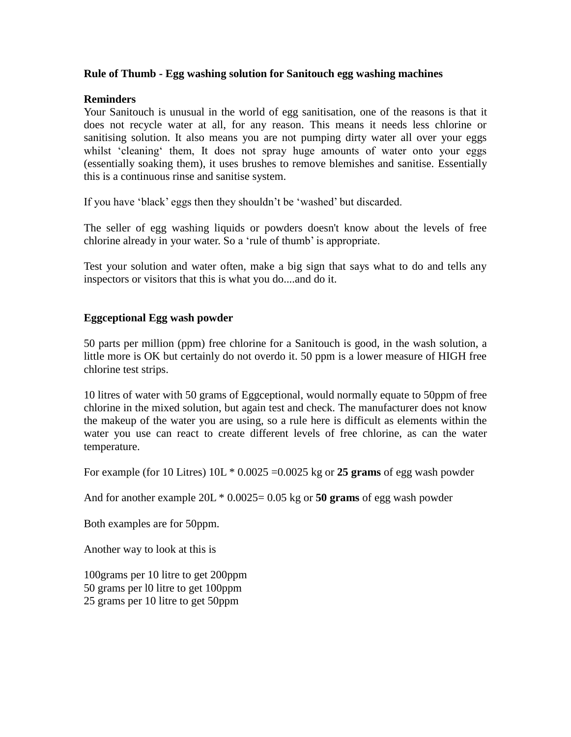#### **Rule of Thumb - Egg washing solution for Sanitouch egg washing machines**

# **Reminders**

Your Sanitouch is unusual in the world of egg sanitisation, one of the reasons is that it does not recycle water at all, for any reason. This means it needs less chlorine or sanitising solution. It also means you are not pumping dirty water all over your eggs whilst 'cleaning' them, It does not spray huge amounts of water onto your eggs (essentially soaking them), it uses brushes to remove blemishes and sanitise. Essentially this is a continuous rinse and sanitise system.

If you have 'black' eggs then they shouldn't be 'washed' but discarded.

The seller of egg washing liquids or powders doesn't know about the levels of free chlorine already in your water. So a 'rule of thumb' is appropriate.

Test your solution and water often, make a big sign that says what to do and tells any inspectors or visitors that this is what you do....and do it.

## **Eggceptional Egg wash powder**

50 parts per million (ppm) free chlorine for a Sanitouch is good, in the wash solution, a little more is OK but certainly do not overdo it. 50 ppm is a lower measure of HIGH free chlorine test strips.

10 litres of water with 50 grams of Eggceptional, would normally equate to 50ppm of free chlorine in the mixed solution, but again test and check. The manufacturer does not know the makeup of the water you are using, so a rule here is difficult as elements within the water you use can react to create different levels of free chlorine, as can the water temperature.

For example (for 10 Litres)  $10L * 0.0025 = 0.0025$  kg or **25 grams** of egg wash powder

And for another example 20L \* 0.0025= 0.05 kg or **50 grams** of egg wash powder

Both examples are for 50ppm.

Another way to look at this is

100grams per 10 litre to get 200ppm 50 grams per l0 litre to get 100ppm 25 grams per 10 litre to get 50ppm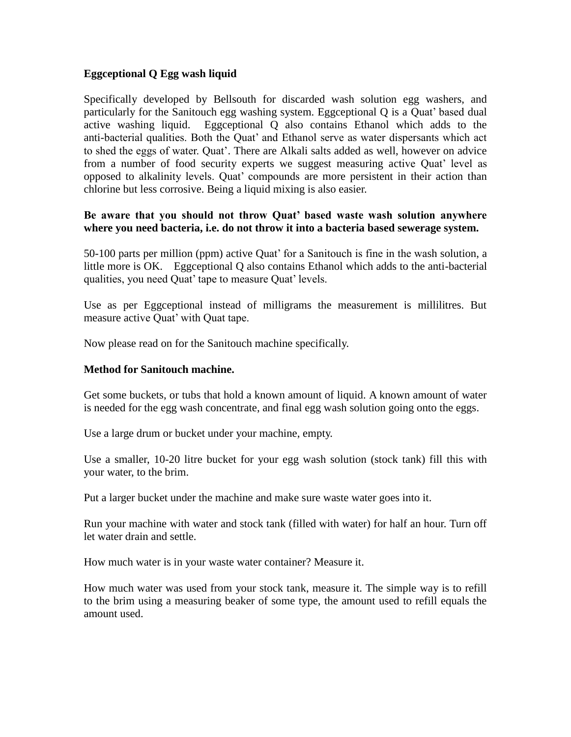## **Eggceptional Q Egg wash liquid**

Specifically developed by Bellsouth for discarded wash solution egg washers, and particularly for the Sanitouch egg washing system. Eggceptional Q is a Quat' based dual active washing liquid. Eggceptional Q also contains Ethanol which adds to the anti-bacterial qualities. Both the Quat' and Ethanol serve as water dispersants which act to shed the eggs of water. Quat'. There are Alkali salts added as well, however on advice from a number of food security experts we suggest measuring active Quat' level as opposed to alkalinity levels. Quat' compounds are more persistent in their action than chlorine but less corrosive. Being a liquid mixing is also easier.

## **Be aware that you should not throw Quat' based waste wash solution anywhere where you need bacteria, i.e. do not throw it into a bacteria based sewerage system.**

50-100 parts per million (ppm) active Quat' for a Sanitouch is fine in the wash solution, a little more is OK. Eggceptional Q also contains Ethanol which adds to the anti-bacterial qualities, you need Quat' tape to measure Quat' levels.

Use as per Eggceptional instead of milligrams the measurement is millilitres. But measure active Quat' with Quat tape.

Now please read on for the Sanitouch machine specifically.

#### **Method for Sanitouch machine.**

Get some buckets, or tubs that hold a known amount of liquid. A known amount of water is needed for the egg wash concentrate, and final egg wash solution going onto the eggs.

Use a large drum or bucket under your machine, empty.

Use a smaller, 10-20 litre bucket for your egg wash solution (stock tank) fill this with your water, to the brim.

Put a larger bucket under the machine and make sure waste water goes into it.

Run your machine with water and stock tank (filled with water) for half an hour. Turn off let water drain and settle.

How much water is in your waste water container? Measure it.

How much water was used from your stock tank, measure it. The simple way is to refill to the brim using a measuring beaker of some type, the amount used to refill equals the amount used.